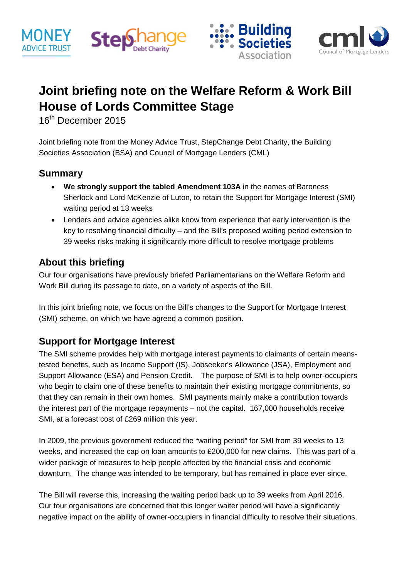







# **Joint briefing note on the Welfare Reform & Work Bill House of Lords Committee Stage**

16<sup>th</sup> December 2015

Joint briefing note from the Money Advice Trust, StepChange Debt Charity, the Building Societies Association (BSA) and Council of Mortgage Lenders (CML)

#### **Summary**

- **We strongly support the tabled Amendment 103A** in the names of Baroness Sherlock and Lord McKenzie of Luton, to retain the Support for Mortgage Interest (SMI) waiting period at 13 weeks
- Lenders and advice agencies alike know from experience that early intervention is the key to resolving financial difficulty – and the Bill's proposed waiting period extension to 39 weeks risks making it significantly more difficult to resolve mortgage problems

### **About this briefing**

Our four organisations have previously briefed Parliamentarians on the Welfare Reform and Work Bill during its passage to date, on a variety of aspects of the Bill.

In this joint briefing note, we focus on the Bill's changes to the Support for Mortgage Interest (SMI) scheme, on which we have agreed a common position.

#### **Support for Mortgage Interest**

The SMI scheme provides help with mortgage interest payments to claimants of certain meanstested benefits, such as Income Support (IS), Jobseeker's Allowance (JSA), Employment and Support Allowance (ESA) and Pension Credit. The purpose of SMI is to help owner-occupiers who begin to claim one of these benefits to maintain their existing mortgage commitments, so that they can remain in their own homes. SMI payments mainly make a contribution towards the interest part of the mortgage repayments – not the capital. 167,000 households receive SMI, at a forecast cost of £269 million this year.

In 2009, the previous government reduced the "waiting period" for SMI from 39 weeks to 13 weeks, and increased the cap on loan amounts to £200,000 for new claims. This was part of a wider package of measures to help people affected by the financial crisis and economic downturn. The change was intended to be temporary, but has remained in place ever since.

The Bill will reverse this, increasing the waiting period back up to 39 weeks from April 2016. Our four organisations are concerned that this longer waiter period will have a significantly negative impact on the ability of owner-occupiers in financial difficulty to resolve their situations.